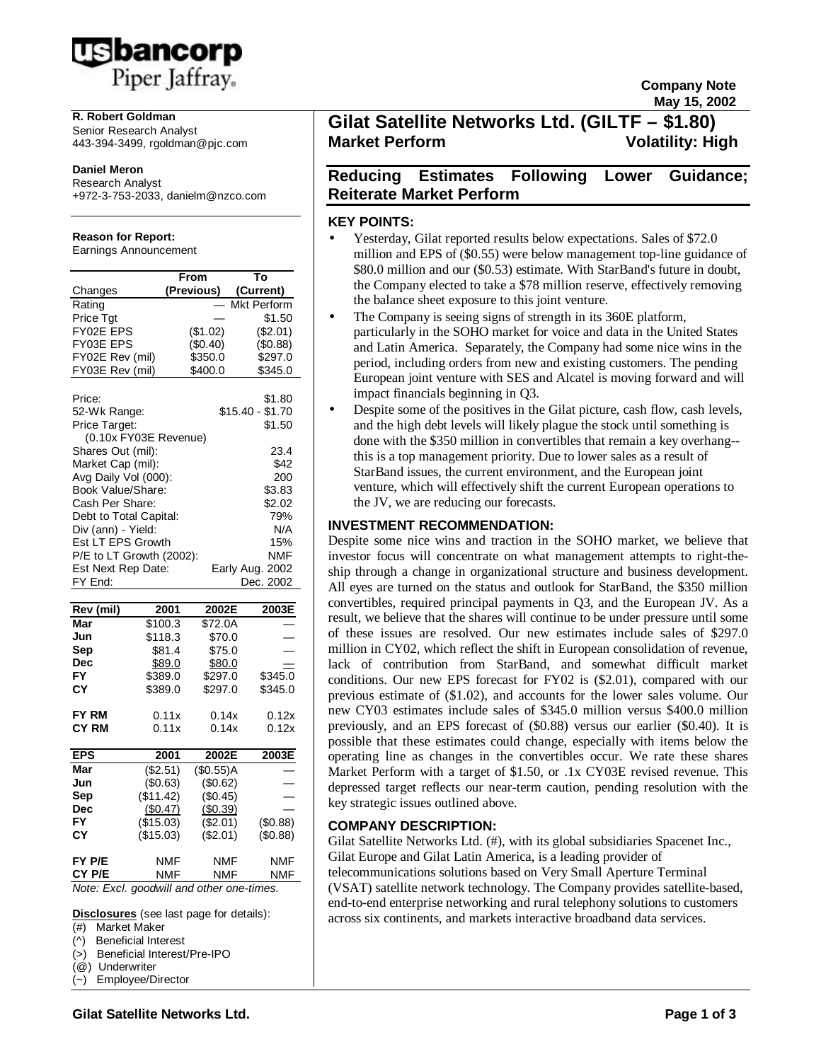

### **R. Robert Goldman**

Senior Research Analyst 443-394-3499, rgoldman@pjc.com

#### **Daniel Meron**

Research Analyst +972-3-753-2033, danielm@nzco.com

### **Reason for Report:**

Earnings Announcement

|                          | From               | Т٥                 |
|--------------------------|--------------------|--------------------|
| Changes                  | (Previous)         | (Current)          |
| Rating                   |                    | <b>Mkt Perform</b> |
| Price Tgt                |                    | \$1.50             |
| FY02E EPS                | (\$1.02)           | (\$2.01)           |
| FY03E EPS                | (\$0.40)           | \$0.88             |
| FY02E Rev (mil)          | \$350.0            | \$297.0            |
| FY03E Rev (mil)          | \$400.0            | \$345.0            |
|                          |                    |                    |
| Price:                   |                    | \$1.80             |
| 52-Wk Range:             |                    | $$15.40 - $1.70$   |
| Price Target:            |                    | \$1.50             |
| (0.10x FY03E Revenue)    |                    |                    |
| Shares Out (mil):        |                    | 23.4               |
| Market Cap (mil):        |                    | \$42               |
| Avg Daily Vol (000):     |                    | 200                |
| Book Value/Share:        |                    | \$3.83             |
| Cash Per Share:          |                    | \$2.02             |
| Debt to Total Capital:   |                    | 79%                |
| Div (ann) - Yield:       |                    | N/A                |
| Est LT EPS Growth        |                    | 15%                |
| P/E to LT Growth (2002): |                    | <b>NMF</b>         |
| Est Next Rep Date:       |                    | Early Aug. 2002    |
| FY End:                  |                    | Dec. 2002          |
|                          |                    |                    |
| Rev (mil)                | 2001<br>2002E      | 2003E              |
| Mar                      | \$100.3<br>\$72.0A |                    |

| Mar          | \$100.3                                          | \$72.0A   |            |
|--------------|--------------------------------------------------|-----------|------------|
| Jun          | \$118.3                                          | \$70.0    |            |
| Sep          | \$81.4                                           | \$75.0    |            |
| Dec          | \$89.0                                           | \$80.0    |            |
| FY           | \$389.0                                          | \$297.0   | \$345.0    |
| СY           | \$389.0                                          | \$297.0   | \$345.0    |
| <b>FY RM</b> | 0.11x                                            | 0.14x     | 0.12x      |
| CY RM        | 0.11x                                            | 0.14x     | 0.12x      |
|              |                                                  |           |            |
| <b>EPS</b>   | 2001                                             | 2002E     | 2003E      |
| Mar          | (\$2.51)                                         | (\$0.55)A |            |
| Jun          | (\$0.63)                                         | (\$0.62)  |            |
| Sep          | (\$11.42)                                        | (\$0.45)  |            |
| Dec          | (\$0.47)                                         | (\$0.39)  |            |
| FΥ           | (\$15.03)                                        | (\$2.01)  | (\$0.88)   |
| СY           | (\$15.03)                                        | (\$2.01)  | (\$0.88)   |
| FY P/E       | NMF                                              | NMF       | <b>NMF</b> |
| CY P/E       | NMF<br>Note: Excl. goodwill and other one-times. | NMF       | NMF        |

**Disclosures** (see last page for details):

|  | (>) Beneficial Interest/Pre-IPO |
|--|---------------------------------|

(@) Underwriter

(~) Employee/Director

**Gilat Satellite Networks Ltd. (GILTF – \$1.80) Market Perform Volatility: High**

**Company Note May 15, 2002**

# **Reducing Estimates Following Lower Guidance; Reiterate Market Perform**

### **KEY POINTS:**

- Yesterday, Gilat reported results below expectations. Sales of \$72.0 million and EPS of (\$0.55) were below management top-line guidance of \$80.0 million and our (\$0.53) estimate. With StarBand's future in doubt, the Company elected to take a \$78 million reserve, effectively removing the balance sheet exposure to this joint venture.
- The Company is seeing signs of strength in its 360E platform, particularly in the SOHO market for voice and data in the United States and Latin America. Separately, the Company had some nice wins in the period, including orders from new and existing customers. The pending European joint venture with SES and Alcatel is moving forward and will impact financials beginning in Q3.
- Despite some of the positives in the Gilat picture, cash flow, cash levels, and the high debt levels will likely plague the stock until something is done with the \$350 million in convertibles that remain a key overhang- this is a top management priority. Due to lower sales as a result of StarBand issues, the current environment, and the European joint venture, which will effectively shift the current European operations to the JV, we are reducing our forecasts.

# **INVESTMENT RECOMMENDATION:**

Despite some nice wins and traction in the SOHO market, we believe that investor focus will concentrate on what management attempts to right-theship through a change in organizational structure and business development. All eyes are turned on the status and outlook for StarBand, the \$350 million convertibles, required principal payments in Q3, and the European JV. As a result, we believe that the shares will continue to be under pressure until some of these issues are resolved. Our new estimates include sales of \$297.0 million in CY02, which reflect the shift in European consolidation of revenue, lack of contribution from StarBand, and somewhat difficult market conditions. Our new EPS forecast for FY02 is (\$2.01), compared with our previous estimate of (\$1.02), and accounts for the lower sales volume. Our new CY03 estimates include sales of \$345.0 million versus \$400.0 million previously, and an EPS forecast of (\$0.88) versus our earlier (\$0.40). It is possible that these estimates could change, especially with items below the operating line as changes in the convertibles occur. We rate these shares Market Perform with a target of \$1.50, or .1x CY03E revised revenue. This depressed target reflects our near-term caution, pending resolution with the key strategic issues outlined above.

## **COMPANY DESCRIPTION:**

Gilat Satellite Networks Ltd. (#), with its global subsidiaries Spacenet Inc., Gilat Europe and Gilat Latin America, is a leading provider of telecommunications solutions based on Very Small Aperture Terminal (VSAT) satellite network technology. The Company provides satellite-based, end-to-end enterprise networking and rural telephony solutions to customers across six continents, and markets interactive broadband data services.

<sup>(#)</sup> Market Maker

<sup>(^)</sup> Beneficial Interest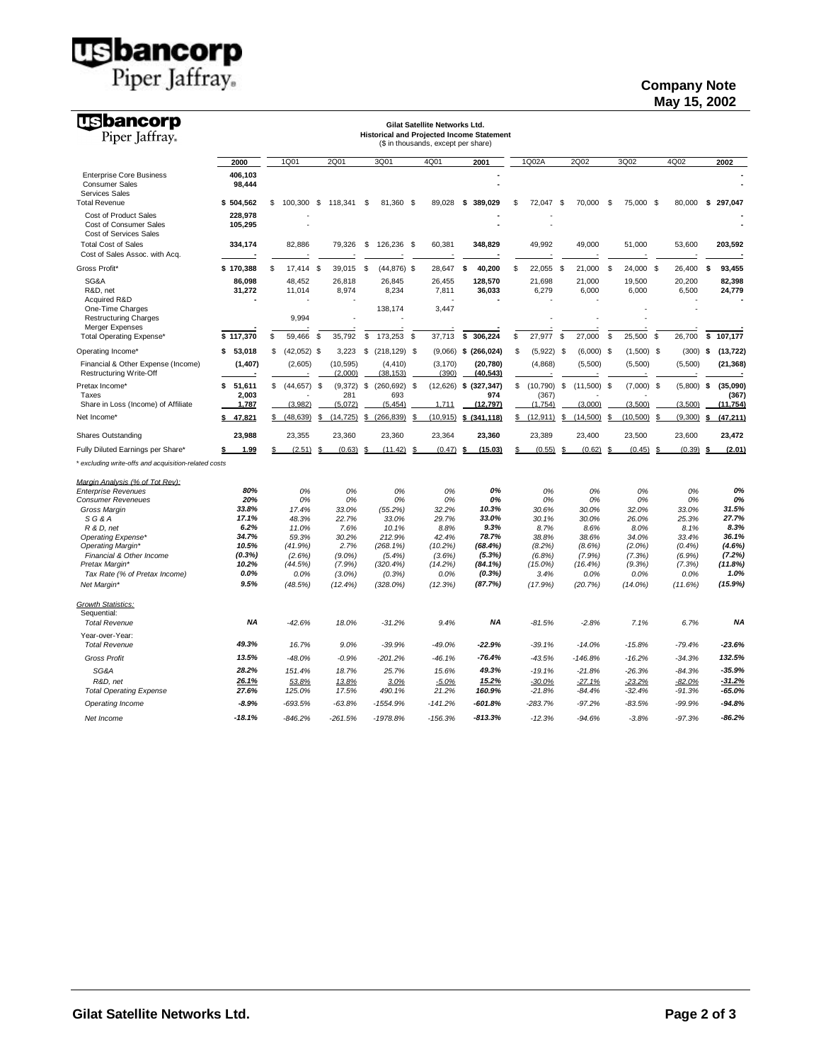**US bancorp**<br>Piper Jaffray.

# **Company Note May 15, 2002**

| <b>USbancorp</b><br>Piper Jaffray.                                                |                    |                      |                 |               | <b>Historical and Projected Income Statement</b> |    | Gilat Satellite Networks Ltd.       |    |                           |                  |     |               |    |               |    |               |    |                    |
|-----------------------------------------------------------------------------------|--------------------|----------------------|-----------------|---------------|--------------------------------------------------|----|-------------------------------------|----|---------------------------|------------------|-----|---------------|----|---------------|----|---------------|----|--------------------|
|                                                                                   |                    |                      |                 |               |                                                  |    | (\$ in thousands, except per share) |    |                           |                  |     |               |    |               |    |               |    |                    |
|                                                                                   | 2000               | 1Q01                 | <b>2Q01</b>     |               | 3Q01                                             |    | 4Q01                                |    | 2001                      | 1Q02A            |     | 2Q02          |    | 3Q02          |    | 4Q02          |    | 2002               |
| <b>Enterprise Core Business</b><br><b>Consumer Sales</b><br><b>Services Sales</b> | 406,103<br>98,444  |                      |                 |               |                                                  |    |                                     |    |                           |                  |     |               |    |               |    |               |    |                    |
| <b>Total Revenue</b>                                                              | \$504,562          | \$<br>100,300 \$     | 118,341         |               | \$<br>81,360 \$                                  |    | 89,028                              | \$ | 389,029                   | \$<br>72,047     | \$  | 70,000        | \$ | 75,000 \$     |    | 80,000        | \$ | 297,047            |
| Cost of Product Sales<br>Cost of Consumer Sales<br>Cost of Services Sales         | 228,978<br>105,295 |                      |                 |               |                                                  |    |                                     |    |                           |                  |     |               |    |               |    |               |    |                    |
| <b>Total Cost of Sales</b><br>Cost of Sales Assoc. with Acq.                      | 334,174            | 82,886               | 79,326          |               | \$<br>126,236 \$                                 |    | 60,381                              |    | 348,829                   | 49,992           |     | 49,000        |    | 51,000        |    | 53,600        |    | 203,592            |
| Gross Profit*                                                                     | \$170.388          | \$<br>17.414         | \$<br>39,015    |               | \$<br>$(44, 876)$ \$                             |    | 28.647                              | \$ | 40.200                    | \$<br>22,055     | \$  | 21,000        | \$ | 24.000        | \$ | 26,400        | \$ | 93,455             |
| SG&A                                                                              | 86,098             | 48,452               | 26,818          |               | 26,845                                           |    | 26,455                              |    | 128,570                   | 21,698           |     | 21,000        |    | 19,500        |    | 20,200        |    | 82,398             |
| R&D, net                                                                          | 31,272             | 11,014               |                 | 8,974         | 8,234                                            |    | 7,811                               |    | 36,033                    | 6,279            |     | 6,000         |    | 6,000         |    | 6,500         |    | 24,779             |
| Acquired R&D<br>One-Time Charges                                                  |                    |                      |                 |               | 138,174                                          |    | 3,447                               |    |                           |                  |     |               |    |               |    |               |    |                    |
| <b>Restructuring Charges</b>                                                      |                    | 9,994                |                 |               |                                                  |    |                                     |    |                           |                  |     |               |    |               |    |               |    |                    |
| Merger Expenses                                                                   |                    |                      |                 |               |                                                  |    |                                     |    |                           |                  |     |               |    |               |    |               |    |                    |
| Total Operating Expense*                                                          | \$117.370          | \$<br>59.466         | 35,792<br>\$    |               | \$<br>173.253                                    | \$ | 37,713                              | \$ | 306.224                   | \$<br>27.977     | S   | 27,000        | \$ | 25,500        | \$ | 26.700        | \$ | 107.177            |
| Operating Income*                                                                 | 53,018<br>\$       | \$<br>$(42,052)$ \$  |                 | 3,223         | \$<br>$(218, 129)$ \$                            |    |                                     |    | $(9,066)$ \$ (266,024)    | \$<br>(5,922)    | -\$ | $(6,000)$ \$  |    | $(1,500)$ \$  |    | (300)         | \$ | (13, 722)          |
| Financial & Other Expense (Income)<br>Restructuring Write-Off                     | (1, 407)           | (2,605)              | (10, 595)       | (2,000)       | (4, 410)<br>(38, 153)                            |    | (3, 170)<br>(390)                   |    | (20, 780)<br>(40, 543)    | (4,868)          |     | (5,500)       |    | (5,500)       |    | (5,500)       |    | (21, 368)          |
| Pretax Income*                                                                    | \$<br>51,611       | \$<br>$(44, 657)$ \$ |                 | (9,372)       | \$<br>(260, 692)                                 | \$ |                                     |    | $(12,626)$ \$ $(327,347)$ | \$<br>(10, 790)  | \$  | (11,500)      | \$ | $(7,000)$ \$  |    | (5,800)       | -S | (35,090)           |
| Taxes<br>Share in Loss (Income) of Affiliate                                      | 2,003<br>1,787     | (3.982)              | (5.072)         | 281           | 693<br>(5.454)                                   |    | 1.711                               |    | 974<br>(12.797)           | (367)<br>(1.754) |     | (3.000)       |    | (3.500)       |    | (3.500)       |    | (367)<br>(11, 754) |
|                                                                                   |                    |                      |                 |               |                                                  |    |                                     |    |                           |                  |     |               |    |               |    |               |    |                    |
| Net Income*                                                                       | 47,821<br>\$       | \$<br>(48, 639)      | (14, 725)<br>\$ |               | (266, 839)<br>\$                                 | S  | (10, 915)                           | S. | (341, 118)                | \$<br>(12, 911)  | \$  | (14,500)      | S  | (10, 500)     | S  | (9,300)       | -S | (47, 211)          |
| <b>Shares Outstanding</b>                                                         | 23,988             | 23,355               | 23,360          |               | 23,360                                           |    | 23,364                              |    | 23,360                    | 23,389           |     | 23,400        |    | 23,500        |    | 23,600        |    | 23,472             |
| Fully Diluted Earnings per Share*                                                 | 1.99<br>\$         | \$<br>(2.51)         | £               | (0.63)        | (11.42)<br>- \$                                  | \$ | (0.47)                              | \$ | (15.03)                   | \$<br>(0.55)     | S   | (0.62)        | \$ | (0.45)        | £  | (0.39)        |    | (2.01)             |
| * excluding write-offs and acquisition-related costs                              |                    |                      |                 |               |                                                  |    |                                     |    |                           |                  |     |               |    |               |    |               |    |                    |
| Margin Analysis (% of Tot Rev):                                                   |                    |                      |                 |               |                                                  |    |                                     |    |                           |                  |     |               |    |               |    |               |    |                    |
| <b>Enterprise Revenues</b>                                                        | 80%                | 0%                   |                 | 0%            | 0%                                               |    | 0%                                  |    | 0%                        | 0%               |     | 0%            |    | 0%            |    | 0%            |    | 0%                 |
| <b>Consumer Reveneues</b>                                                         | 20%                | 0%                   |                 | 0%            | 0%                                               |    | 0%                                  |    | 0%                        | 0%               |     | 0%            |    | 0%            |    | 0%            |    | 0%                 |
| Gross Margin                                                                      | 33.8%              | 17.4%                |                 | 33.0%         | (55.2%)                                          |    | 32.2%                               |    | 10.3%                     | 30.6%            |     | 30.0%         |    | 32.0%         |    | 33.0%         |    | 31.5%              |
| SG&A<br>R & D, net                                                                | 17.1%<br>6.2%      | 48.3%<br>11.0%       |                 | 22.7%<br>7.6% | 33.0%<br>10.1%                                   |    | 29.7%<br>8.8%                       |    | 33.0%<br>9.3%             | 30.1%<br>8.7%    |     | 30.0%<br>8.6% |    | 26.0%<br>8.0% |    | 25.3%<br>8.1% |    | 27.7%<br>8.3%      |
| Operating Expense*                                                                | 34.7%              | 59.3%                |                 | 30.2%         | 212.9%                                           |    | 42.4%                               |    | 78.7%                     | 38.8%            |     | 38.6%         |    | 34.0%         |    | 33.4%         |    | 36.1%              |
| Operating Margin*                                                                 | 10.5%              | (41.9%)              |                 | 2.7%          | $(268.1\%)$                                      |    | (10.2%)                             |    | (68.4%)                   | (8.2%)           |     | $(8.6\%)$     |    | $(2.0\%)$     |    | (0.4%         |    | (4.6%              |
| Financial & Other Income                                                          | (0.3%)             | (2.6%)               | (9.0%           |               | (5.4%)                                           |    | (3.6%)                              |    | (5.3%)                    | (6.8%)           |     | (7.9%         |    | (7.3%)        |    | (6.9%)        |    | (7.2%              |
| Pretax Margin*                                                                    | 10.2%              | (44.5%)              |                 | (7.9%)        | (320.4%)                                         |    | (14.2%)                             |    | (84.1%)                   | $(15.0\%)$       |     | (16.4%)       |    | (9.3%)        |    | (7.3%)        |    | (11.8%)            |
| Tax Rate (% of Pretax Income)                                                     | 0.0%<br>9.5%       | 0.0%                 |                 | $(3.0\%)$     | (0.3%)                                           |    | 0.0%                                |    | (0.3%)                    | 3.4%             |     | 0.0%          |    | 0.0%          |    | 0.0%          |    | 1.0%               |
| Net Margin*<br><b>Growth Statistics:</b><br>Sequential:                           |                    | (48.5%)              | (12.4%)         |               | $(328.0\%)$                                      |    | (12.3%)                             |    | (87.7%)                   | (17.9%)          |     | (20.7%)       |    | $(14.0\%)$    |    | (11.6%)       |    | (15.9%)            |
| <b>Total Revenue</b>                                                              | <b>NA</b>          | $-42.6%$             |                 | 18.0%         | $-31.2%$                                         |    | 9.4%                                |    | <b>NA</b>                 | $-81.5%$         |     | $-2.8%$       |    | 7.1%          |    | 6.7%          |    | <b>NA</b>          |
| Year-over-Year:                                                                   |                    |                      |                 |               |                                                  |    |                                     |    |                           |                  |     |               |    |               |    |               |    |                    |
| <b>Total Revenue</b>                                                              | 49.3%              | 16.7%                |                 | 9.0%          | $-39.9%$                                         |    | $-49.0%$                            |    | $-22.9%$                  | $-39.1%$         |     | $-14.0%$      |    | $-15.8%$      |    | $-79.4%$      |    | $-23.6%$           |
| <b>Gross Profit</b>                                                               | 13.5%              | $-48.0%$             |                 | $-0.9%$       | $-201.2%$                                        |    | $-46.1%$                            |    | $-76.4%$                  | $-43.5%$         |     | $-146.8%$     |    | $-16.2%$      |    | $-34.3%$      |    | 132.5%             |
| SG&A                                                                              | 28.2%              | 151.4%               |                 | 18.7%         | 25.7%                                            |    | 15.6%                               |    | 49.3%                     | $-19.1%$         |     | $-21.8%$      |    | $-26.3%$      |    | $-84.3%$      |    | $-35.9%$           |
| R&D, net                                                                          | 26.1%              | 53.8%                |                 | 13.8%         | 3.0%                                             |    | $-5.0%$                             |    | 15.2%                     | $-30.0%$         |     | $-27.1%$      |    | $-23.2%$      |    | $-82.0%$      |    | $-31.2%$           |
| <b>Total Operating Expense</b>                                                    | 27.6%              | 125.0%               |                 | 17.5%         | 490.1%                                           |    | 21.2%                               |    | 160.9%                    | $-21.8%$         |     | $-84.4%$      |    | $-32.4%$      |    | $-91.3%$      |    | $-65.0%$           |
| Operating Income                                                                  | $-8.9%$            | -693.5%              | $-63.8%$        |               | -1554.9%                                         |    | $-141.2%$                           |    | -601.8%                   | $-283.7%$        |     | $-97.2%$      |    | $-83.5%$      |    | $-99.9%$      |    | $-94.8%$           |
| Net Income                                                                        | $-18.1%$           | $-846.2%$            | $-261.5%$       |               | -1978.8%                                         |    | $-156.3%$                           |    | $-813.3\%$                | $-12.3%$         |     | $-94.6%$      |    | $-3.8%$       |    | $-97.3%$      |    | $-86.2%$           |